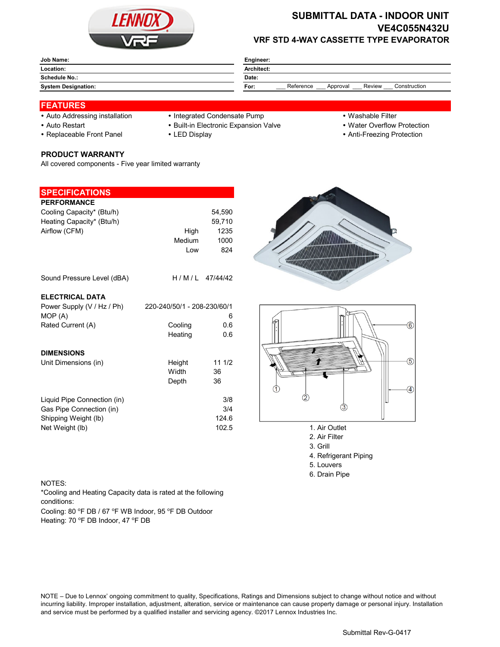

# **SUBMITTAL DATA - INDOOR UNIT VE4C055N432U VRF STD 4-WAY CASSETTE TYPE EVAPORATOR**

| Job Name:                  | Engineer:                                               |  |  |  |
|----------------------------|---------------------------------------------------------|--|--|--|
| Location:                  | Architect:                                              |  |  |  |
| <b>Schedule No.:</b>       | Date:                                                   |  |  |  |
| <b>System Designation:</b> | Reference<br>Construction<br>Review<br>Approval<br>For: |  |  |  |

## **FEATURES**

- 
- 
- 

### **PRODUCT WARRANTY**

All covered components - Five year limited warranty

### **SPECIFICATIONS**

| <b>PERFORMANCE</b><br>Cooling Capacity* (Btu/h)<br>Heating Capacity* (Btu/h)<br>Airflow (CFM) | High<br>Medium<br>Low       | 54,590<br>59,710<br>1235<br>1000<br>824 |                    |
|-----------------------------------------------------------------------------------------------|-----------------------------|-----------------------------------------|--------------------|
| Sound Pressure Level (dBA)                                                                    | H/M/L                       | 47/44/42                                |                    |
| <b>ELECTRICAL DATA</b>                                                                        |                             |                                         |                    |
| Power Supply (V / Hz / Ph)                                                                    | 220-240/50/1 - 208-230/60/1 |                                         |                    |
| MOP (A)                                                                                       |                             | 6                                       |                    |
| Rated Current (A)                                                                             | Cooling<br>Heating          | 0.6<br>0.6                              |                    |
| <b>DIMENSIONS</b>                                                                             |                             |                                         |                    |
| Unit Dimensions (in)                                                                          | Height                      | 111/2                                   |                    |
|                                                                                               | Width                       | 36                                      |                    |
|                                                                                               | Depth                       | 36                                      |                    |
| Liquid Pipe Connection (in)                                                                   |                             | 3/8                                     |                    |
| Gas Pipe Connection (in)                                                                      |                             | 3/4                                     | 3                  |
| Shipping Weight (lb)                                                                          |                             | 124.6                                   |                    |
| Net Weight (lb)                                                                               |                             | 102.5                                   | 1. Air Outlet      |
|                                                                                               |                             |                                         | $2.11$ $\mu$ $\mu$ |

- Auto Addressing installation Integrated Condensate Pump Washable Filter
- Auto Restart **Built-in Electronic Expansion Valve Water Overflow Protection** 
	-
- 
- 
- Replaceable Front Panel LED Display Anti-Freezing Protection





- 
- 2. Air Filter 3. Grill
- 
- 4. Refrigerant Piping
- 5. Louvers
- 6. Drain Pipe

#### NOTES:

\*Cooling and Heating Capacity data is rated at the following conditions:

Cooling: 80 °F DB / 67 °F WB Indoor, 95 °F DB Outdoor Heating: 70 °F DB Indoor, 47 °F DB

NOTE – Due to Lennox' ongoing commitment to quality, Specifications, Ratings and Dimensions subject to change without notice and without incurring liability. Improper installation, adjustment, alteration, service or maintenance can cause property damage or personal injury. Installation and service must be performed by a qualified installer and servicing agency. ©2017 Lennox Industries Inc.